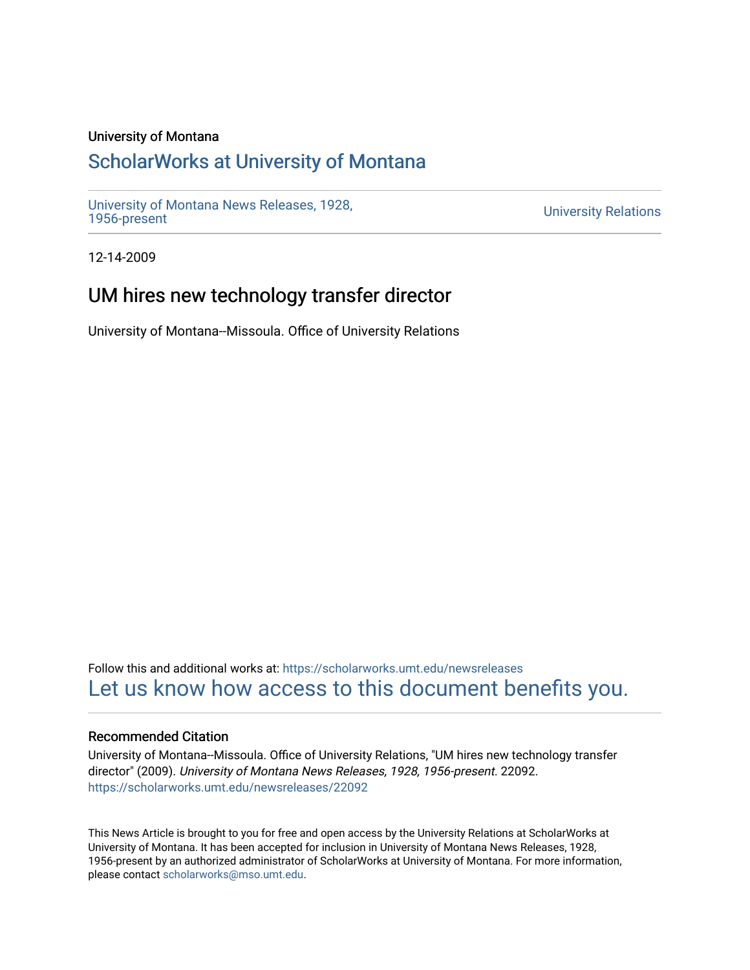#### University of Montana

# [ScholarWorks at University of Montana](https://scholarworks.umt.edu/)

[University of Montana News Releases, 1928,](https://scholarworks.umt.edu/newsreleases) 

**University Relations** 

12-14-2009

# UM hires new technology transfer director

University of Montana--Missoula. Office of University Relations

Follow this and additional works at: [https://scholarworks.umt.edu/newsreleases](https://scholarworks.umt.edu/newsreleases?utm_source=scholarworks.umt.edu%2Fnewsreleases%2F22092&utm_medium=PDF&utm_campaign=PDFCoverPages) [Let us know how access to this document benefits you.](https://goo.gl/forms/s2rGfXOLzz71qgsB2) 

#### Recommended Citation

University of Montana--Missoula. Office of University Relations, "UM hires new technology transfer director" (2009). University of Montana News Releases, 1928, 1956-present. 22092. [https://scholarworks.umt.edu/newsreleases/22092](https://scholarworks.umt.edu/newsreleases/22092?utm_source=scholarworks.umt.edu%2Fnewsreleases%2F22092&utm_medium=PDF&utm_campaign=PDFCoverPages) 

This News Article is brought to you for free and open access by the University Relations at ScholarWorks at University of Montana. It has been accepted for inclusion in University of Montana News Releases, 1928, 1956-present by an authorized administrator of ScholarWorks at University of Montana. For more information, please contact [scholarworks@mso.umt.edu.](mailto:scholarworks@mso.umt.edu)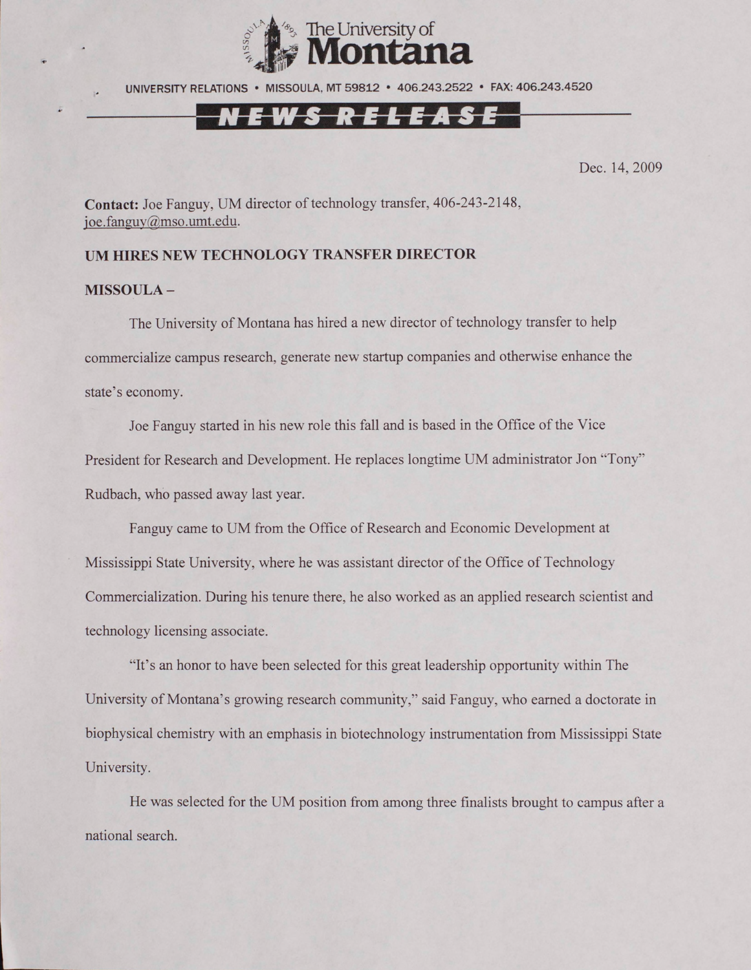

UNIVERSITY RELATIONS • MISSOULA. MT 59812 • 406.243.2522 • FAX: 406.243.4520

Dec. 14, 2009

**Contact:** Joe Fanguy, UM director of technology transfer, 406-243-2148, [ioe.fanguv@mso.umt.edu](mailto:ioe.fanguv@mso.umt.edu).

## **UM HIRES NEW TECHNOLOGY TRANSFER DIRECTOR**

### **MISSOULA -**

The University of Montana has hired a new director of technology transfer to help commercialize campus research, generate new startup companies and otherwise enhance the state's economy.

Joe Fanguy started in his new role this fall and is based in the Office of the Vice President for Research and Development. He replaces longtime UM administrator Jon "Tony" Rudbach, who passed away last year.

Fanguy came to UM from the Office of Research and Economic Development at Mississippi State University, where he was assistant director of the Office of Technology Commercialization. During his tenure there, he also worked as an applied research scientist and technology licensing associate.

"It's an honor to have been selected for this great leadership opportunity within The University of Montana's growing research community," said Fanguy, who earned a doctorate in biophysical chemistry with an emphasis in biotechnology instrumentation from Mississippi State University.

He was selected for the UM position from among three finalists brought to campus after a national search.